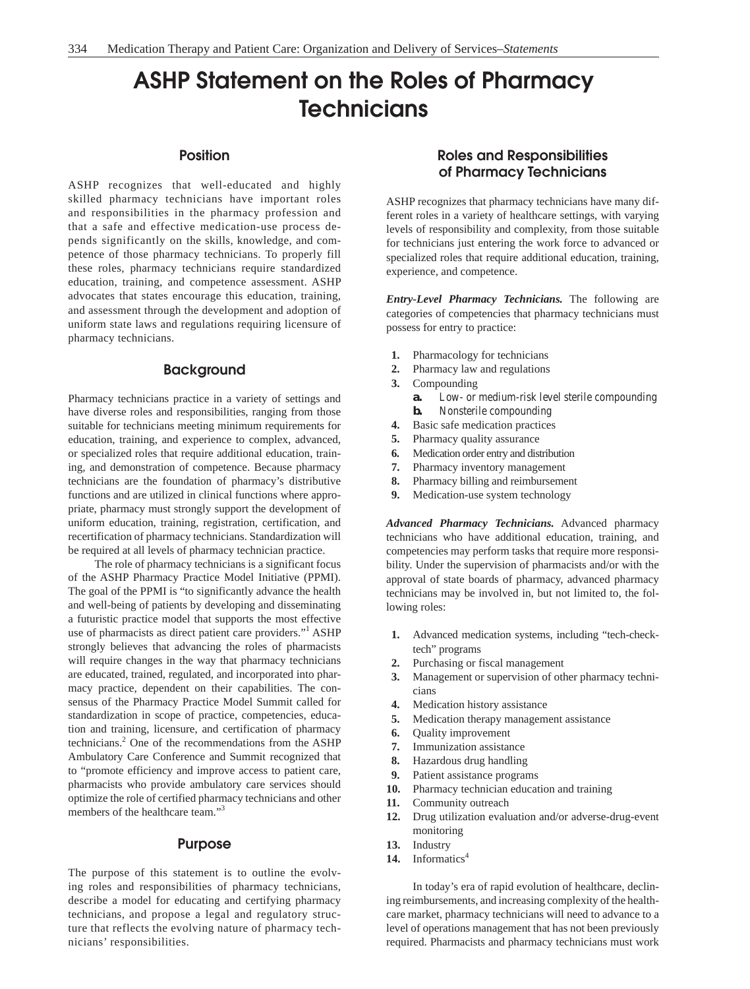# ASHP Statement on the Roles of Pharmacy **Technicians**

#### Position

ASHP recognizes that well-educated and highly skilled pharmacy technicians have important roles and responsibilities in the pharmacy profession and that a safe and effective medication-use process depends significantly on the skills, knowledge, and competence of those pharmacy technicians. To properly fill these roles, pharmacy technicians require standardized education, training, and competence assessment. ASHP advocates that states encourage this education, training, and assessment through the development and adoption of uniform state laws and regulations requiring licensure of pharmacy technicians.

#### Background

Pharmacy technicians practice in a variety of settings and have diverse roles and responsibilities, ranging from those suitable for technicians meeting minimum requirements for education, training, and experience to complex, advanced, or specialized roles that require additional education, training, and demonstration of competence. Because pharmacy technicians are the foundation of pharmacy's distributive functions and are utilized in clinical functions where appropriate, pharmacy must strongly support the development of uniform education, training, registration, certification, and recertification of pharmacy technicians. Standardization will be required at all levels of pharmacy technician practice.

The role of pharmacy technicians is a significant focus of the ASHP Pharmacy Practice Model Initiative (PPMI). The goal of the PPMI is "to significantly advance the health and well-being of patients by developing and disseminating a futuristic practice model that supports the most effective use of pharmacists as direct patient care providers."<sup>1</sup> ASHP strongly believes that advancing the roles of pharmacists will require changes in the way that pharmacy technicians are educated, trained, regulated, and incorporated into pharmacy practice, dependent on their capabilities. The consensus of the Pharmacy Practice Model Summit called for standardization in scope of practice, competencies, education and training, licensure, and certification of pharmacy technicians.<sup>2</sup> One of the recommendations from the ASHP Ambulatory Care Conference and Summit recognized that to "promote efficiency and improve access to patient care, pharmacists who provide ambulatory care services should optimize the role of certified pharmacy technicians and other members of the healthcare team."<sup>3</sup>

## **Purpose**

The purpose of this statement is to outline the evolving roles and responsibilities of pharmacy technicians, describe a model for educating and certifying pharmacy technicians, and propose a legal and regulatory structure that reflects the evolving nature of pharmacy technicians' responsibilities.

# Roles and Responsibilities of Pharmacy Technicians

ASHP recognizes that pharmacy technicians have many different roles in a variety of healthcare settings, with varying levels of responsibility and complexity, from those suitable for technicians just entering the work force to advanced or specialized roles that require additional education, training, experience, and competence.

*Entry-Level Pharmacy Technicians.* The following are categories of competencies that pharmacy technicians must possess for entry to practice:

- **1.** Pharmacology for technicians
- **2.** Pharmacy law and regulations
- **3.** Compounding
	- **a.** Low- or medium-risk level sterile compounding **b.** Nonsterile compounding
- **4.** Basic safe medication practices
- **5.** Pharmacy quality assurance
- **6.** Medication order entry and distribution
- **7.** Pharmacy inventory management
- **8.** Pharmacy billing and reimbursement
- **9.** Medication-use system technology

*Advanced Pharmacy Technicians.* Advanced pharmacy technicians who have additional education, training, and competencies may perform tasks that require more responsibility. Under the supervision of pharmacists and/or with the approval of state boards of pharmacy, advanced pharmacy technicians may be involved in, but not limited to, the following roles:

- **1.** Advanced medication systems, including "tech-checktech" programs
- **2.** Purchasing or fiscal management
- **3.** Management or supervision of other pharmacy technicians
- **4.** Medication history assistance
- **5.** Medication therapy management assistance
- **6.** Quality improvement
- **7.** Immunization assistance
- **8.** Hazardous drug handling
- **9.** Patient assistance programs
- **10.** Pharmacy technician education and training
- **11.** Community outreach
- **12.** Drug utilization evaluation and/or adverse-drug-event monitoring
- **13.** Industry
- 14. Informatics<sup>4</sup>

In today's era of rapid evolution of healthcare, declining reimbursements, and increasing complexity of the healthcare market, pharmacy technicians will need to advance to a level of operations management that has not been previously required. Pharmacists and pharmacy technicians must work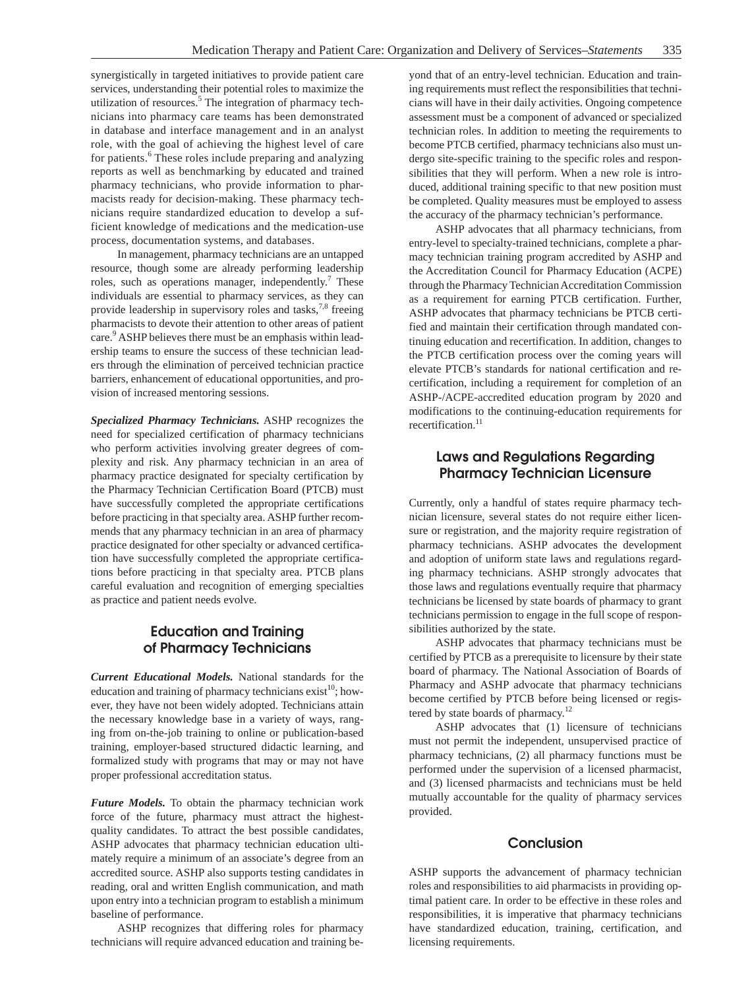synergistically in targeted initiatives to provide patient care services, understanding their potential roles to maximize the utilization of resources.<sup>5</sup> The integration of pharmacy technicians into pharmacy care teams has been demonstrated in database and interface management and in an analyst role, with the goal of achieving the highest level of care for patients.<sup>6</sup> These roles include preparing and analyzing reports as well as benchmarking by educated and trained pharmacy technicians, who provide information to pharmacists ready for decision-making. These pharmacy technicians require standardized education to develop a sufficient knowledge of medications and the medication-use process, documentation systems, and databases.

In management, pharmacy technicians are an untapped resource, though some are already performing leadership roles, such as operations manager, independently.<sup>7</sup> These individuals are essential to pharmacy services, as they can provide leadership in supervisory roles and tasks,  $7.8$  freeing pharmacists to devote their attention to other areas of patient care.<sup>9</sup> ASHP believes there must be an emphasis within leadership teams to ensure the success of these technician leaders through the elimination of perceived technician practice barriers, enhancement of educational opportunities, and provision of increased mentoring sessions.

*Specialized Pharmacy Technicians.* ASHP recognizes the need for specialized certification of pharmacy technicians who perform activities involving greater degrees of complexity and risk. Any pharmacy technician in an area of pharmacy practice designated for specialty certification by the Pharmacy Technician Certification Board (PTCB) must have successfully completed the appropriate certifications before practicing in that specialty area. ASHP further recommends that any pharmacy technician in an area of pharmacy practice designated for other specialty or advanced certification have successfully completed the appropriate certifications before practicing in that specialty area. PTCB plans careful evaluation and recognition of emerging specialties as practice and patient needs evolve.

# Education and Training of Pharmacy Technicians

*Current Educational Models.* National standards for the education and training of pharmacy technicians  $exist^{10}$ ; however, they have not been widely adopted. Technicians attain the necessary knowledge base in a variety of ways, ranging from on-the-job training to online or publication-based training, employer-based structured didactic learning, and formalized study with programs that may or may not have proper professional accreditation status.

*Future Models.* To obtain the pharmacy technician work force of the future, pharmacy must attract the highestquality candidates. To attract the best possible candidates, ASHP advocates that pharmacy technician education ultimately require a minimum of an associate's degree from an accredited source. ASHP also supports testing candidates in reading, oral and written English communication, and math upon entry into a technician program to establish a minimum baseline of performance.

ASHP recognizes that differing roles for pharmacy technicians will require advanced education and training beyond that of an entry-level technician. Education and training requirements must reflect the responsibilities that technicians will have in their daily activities. Ongoing competence assessment must be a component of advanced or specialized technician roles. In addition to meeting the requirements to become PTCB certified, pharmacy technicians also must undergo site-specific training to the specific roles and responsibilities that they will perform. When a new role is introduced, additional training specific to that new position must be completed. Quality measures must be employed to assess the accuracy of the pharmacy technician's performance.

ASHP advocates that all pharmacy technicians, from entry-level to specialty-trained technicians, complete a pharmacy technician training program accredited by ASHP and the Accreditation Council for Pharmacy Education (ACPE) through the Pharmacy Technician Accreditation Commission as a requirement for earning PTCB certification. Further, ASHP advocates that pharmacy technicians be PTCB certified and maintain their certification through mandated continuing education and recertification. In addition, changes to the PTCB certification process over the coming years will elevate PTCB's standards for national certification and recertification, including a requirement for completion of an ASHP-/ACPE-accredited education program by 2020 and modifications to the continuing-education requirements for recertification. $11$ 

# Laws and Regulations Regarding Pharmacy Technician Licensure

Currently, only a handful of states require pharmacy technician licensure, several states do not require either licensure or registration, and the majority require registration of pharmacy technicians. ASHP advocates the development and adoption of uniform state laws and regulations regarding pharmacy technicians. ASHP strongly advocates that those laws and regulations eventually require that pharmacy technicians be licensed by state boards of pharmacy to grant technicians permission to engage in the full scope of responsibilities authorized by the state.

ASHP advocates that pharmacy technicians must be certified by PTCB as a prerequisite to licensure by their state board of pharmacy. The National Association of Boards of Pharmacy and ASHP advocate that pharmacy technicians become certified by PTCB before being licensed or registered by state boards of pharmacy. $12$ 

ASHP advocates that (1) licensure of technicians must not permit the independent, unsupervised practice of pharmacy technicians, (2) all pharmacy functions must be performed under the supervision of a licensed pharmacist, and (3) licensed pharmacists and technicians must be held mutually accountable for the quality of pharmacy services provided.

## **Conclusion**

ASHP supports the advancement of pharmacy technician roles and responsibilities to aid pharmacists in providing optimal patient care. In order to be effective in these roles and responsibilities, it is imperative that pharmacy technicians have standardized education, training, certification, and licensing requirements.